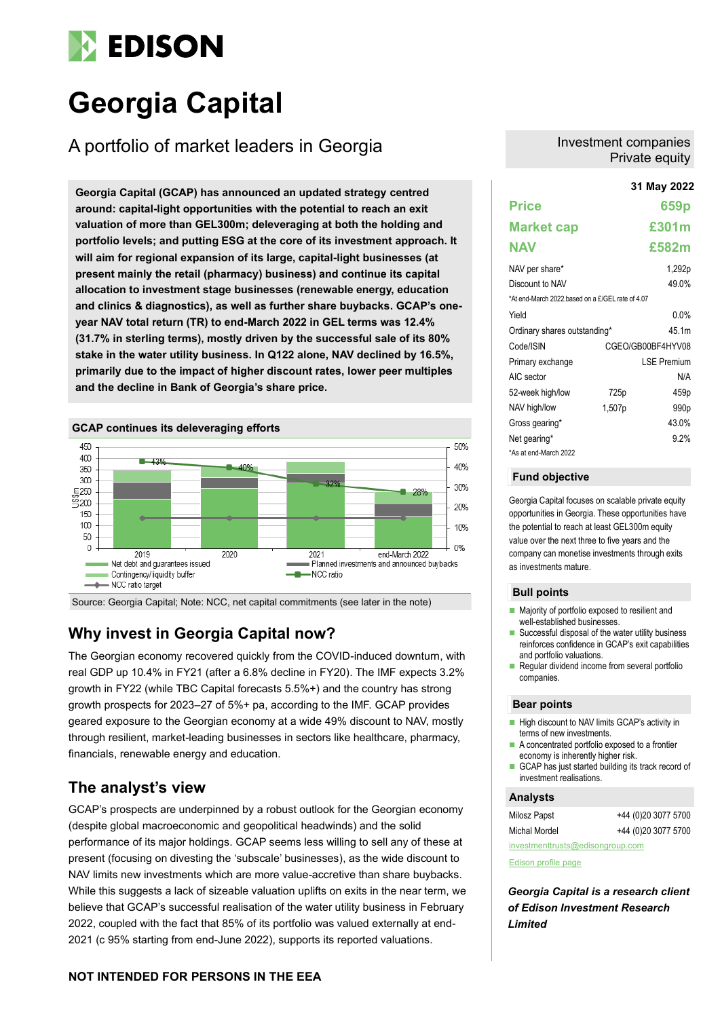# **EDISON**

# **Georgia Capital**

# A portfolio of market leaders in Georgia

**31 May 2022 Georgia Capital (GCAP) has announced an updated strategy centred around: capital-light opportunities with the potential to reach an exit valuation of more than GEL300m; deleveraging at both the holding and portfolio levels; and putting ESG at the core of its investment approach. It will aim for regional expansion of its large, capital-light businesses (at present mainly the retail (pharmacy) business) and continue its capital allocation to investment stage businesses (renewable energy, education and clinics & diagnostics), as well as further share buybacks. GCAP's oneyear NAV total return (TR) to end-March 2022 in GEL terms was 12.4% (31.7% in sterling terms), mostly driven by the successful sale of its 80% stake in the water utility business. In Q122 alone, NAV declined by 16.5%, primarily due to the impact of higher discount rates, lower peer multiples and the decline in Bank of Georgia's share price.**



Source: Georgia Capital; Note: NCC, net capital commitments (see later in the note)

# **Why invest in Georgia Capital now?**

The Georgian economy recovered quickly from the COVID-induced downturn, with real GDP up 10.4% in FY21 (after a 6.8% decline in FY20). The IMF expects 3.2% growth in FY22 (while TBC Capital forecasts 5.5%+) and the country has strong growth prospects for 2023–27 of 5%+ pa, according to the IMF. GCAP provides geared exposure to the Georgian economy at a wide 49% discount to NAV, mostly through resilient, market-leading businesses in sectors like healthcare, pharmacy, financials, renewable energy and education.

### **The analyst's view**

GCAP's prospects are underpinned by a robust outlook for the Georgian economy (despite global macroeconomic and geopolitical headwinds) and the solid performance of its major holdings. GCAP seems less willing to sell any of these at present (focusing on divesting the 'subscale' businesses), as the wide discount to NAV limits new investments which are more value-accretive than share buybacks. While this suggests a lack of sizeable valuation uplifts on exits in the near term, we believe that GCAP's successful realisation of the water utility business in February 2022, coupled with the fact that 85% of its portfolio was valued externally at end-2021 (c 95% starting from end-June 2022), supports its reported valuations.

# Private equity

Investment companies

|                                                  |        | JI MAY ZUZZ        |
|--------------------------------------------------|--------|--------------------|
| <b>Price</b>                                     |        | 659 <sub>p</sub>   |
| <b>Market cap</b>                                |        | £301m              |
| <b>NAV</b>                                       |        | £582m              |
| NAV per share*                                   |        | 1,292p             |
| Discount to NAV                                  |        | 49.0%              |
| *At end-March 2022 based on a £/GEL rate of 4.07 |        |                    |
| Yield                                            |        | $0.0\%$            |
| Ordinary shares outstanding*                     |        | 45.1m              |
| Code/ISIN                                        |        | CGEO/GB00BF4HYV08  |
| Primary exchange                                 |        | <b>LSE Premium</b> |
| AIC sector                                       |        | N/A                |
| 52-week high/low                                 | 725p   | 459p               |
| NAV high/low                                     | 1,507p | 990 <sub>p</sub>   |
| Gross gearing*                                   |        | 43.0%              |
| Net gearing*                                     |        | 9.2%               |
| *As at end-March 2022                            |        |                    |

#### **Fund objective**

Georgia Capital focuses on scalable private equity opportunities in Georgia. These opportunities have the potential to reach at least GEL300m equity value over the next three to five years and the company can monetise investments through exits as investments mature.

#### **Bull points**

- Majority of portfolio exposed to resilient and well-established businesses.
- $\blacksquare$  Successful disposal of the water utility business reinforces confidence in GCAP's exit capabilities and portfolio valuations.
- Regular dividend income from several portfolio companies.

#### **Bear points**

- High discount to NAV limits GCAP's activity in terms of new investments.
- A concentrated portfolio exposed to a frontier economy is inherently higher risk.
- GCAP has just started building its track record of investment realisations.

#### **Analysts**

| Milosz Papst                     | +44 (0)20 3077 5700 |  |  |  |  |  |  |
|----------------------------------|---------------------|--|--|--|--|--|--|
| Michal Mordel                    | +44 (0)20 3077 5700 |  |  |  |  |  |  |
| investmenttrusts@edisongroup.com |                     |  |  |  |  |  |  |

[Edison profile page](https://www.edisongroup.com/company/georgia-capital/)

*Georgia Capital is a research client of Edison Investment Research Limited*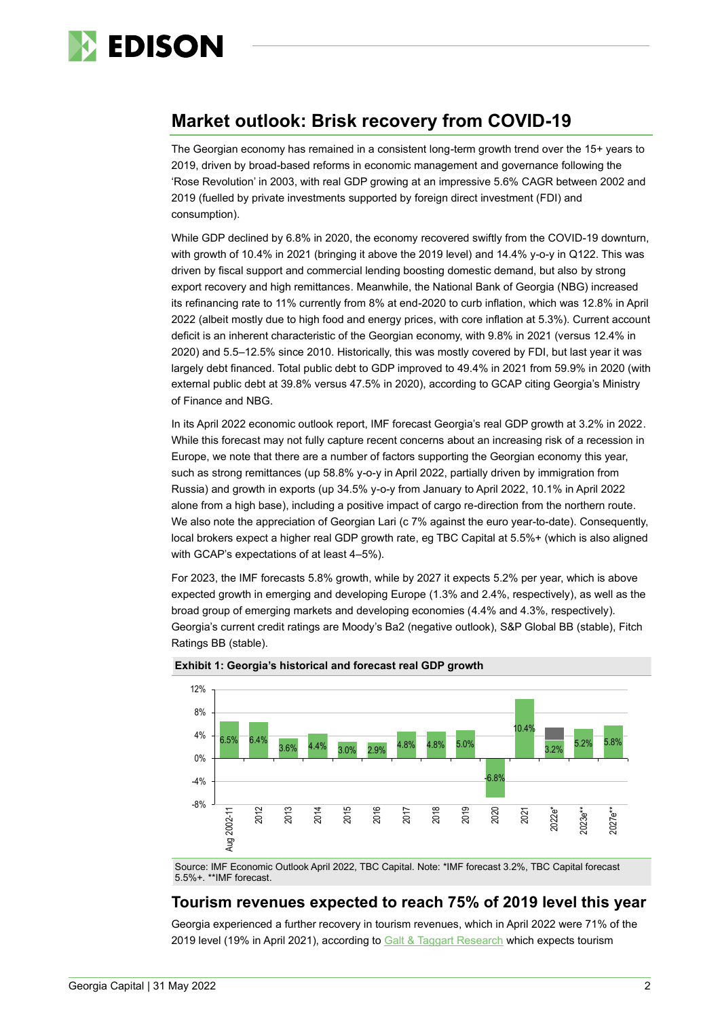

# **Market outlook: Brisk recovery from COVID-19**

The Georgian economy has remained in a consistent long-term growth trend over the 15+ years to 2019, driven by broad-based reforms in economic management and governance following the 'Rose Revolution' in 2003, with real GDP growing at an impressive 5.6% CAGR between 2002 and 2019 (fuelled by private investments supported by foreign direct investment (FDI) and consumption).

While GDP declined by 6.8% in 2020, the economy recovered swiftly from the COVID-19 downturn, with growth of 10.4% in 2021 (bringing it above the 2019 level) and 14.4% y-o-y in Q122. This was driven by fiscal support and commercial lending boosting domestic demand, but also by strong export recovery and high remittances. Meanwhile, the National Bank of Georgia (NBG) increased its refinancing rate to 11% currently from 8% at end-2020 to curb inflation, which was 12.8% in April 2022 (albeit mostly due to high food and energy prices, with core inflation at 5.3%). Current account deficit is an inherent characteristic of the Georgian economy, with 9.8% in 2021 (versus 12.4% in 2020) and 5.5–12.5% since 2010. Historically, this was mostly covered by FDI, but last year it was largely debt financed. Total public debt to GDP improved to 49.4% in 2021 from 59.9% in 2020 (with external public debt at 39.8% versus 47.5% in 2020), according to GCAP citing Georgia's Ministry of Finance and NBG.

In its April 2022 economic outlook report, IMF forecast Georgia's real GDP growth at 3.2% in 2022. While this forecast may not fully capture recent concerns about an increasing risk of a recession in Europe, we note that there are a number of factors supporting the Georgian economy this year, such as strong remittances (up 58.8% y-o-y in April 2022, partially driven by immigration from Russia) and growth in exports (up 34.5% y-o-y from January to April 2022, 10.1% in April 2022 alone from a high base), including a positive impact of cargo re-direction from the northern route. We also note the appreciation of Georgian Lari (c 7% against the euro year-to-date). Consequently, local brokers expect a higher real GDP growth rate, eg TBC Capital at 5.5%+ (which is also aligned with GCAP's expectations of at least 4–5%).

For 2023, the IMF forecasts 5.8% growth, while by 2027 it expects 5.2% per year, which is above expected growth in emerging and developing Europe (1.3% and 2.4%, respectively), as well as the broad group of emerging markets and developing economies (4.4% and 4.3%, respectively). Georgia's current credit ratings are Moody's Ba2 (negative outlook), S&P Global BB (stable), Fitch Ratings BB (stable).



#### **Exhibit 1: Georgia's historical and forecast real GDP growth**

Source: IMF Economic Outlook April 2022, TBC Capital. Note: \*IMF forecast 3.2%, TBC Capital forecast 5.5%+. \*\*IMF forecast.

### **Tourism revenues expected to reach 75% of 2019 level this year**

Georgia experienced a further recovery in tourism revenues, which in April 2022 were 71% of the 2019 level (19% in April 2021), according to Galt [& Taggart](https://api.galtandtaggart.com/sites/default/files/2022-05/report/tourism-market-watch-april-2022-eng.pdf) Research which expects tourism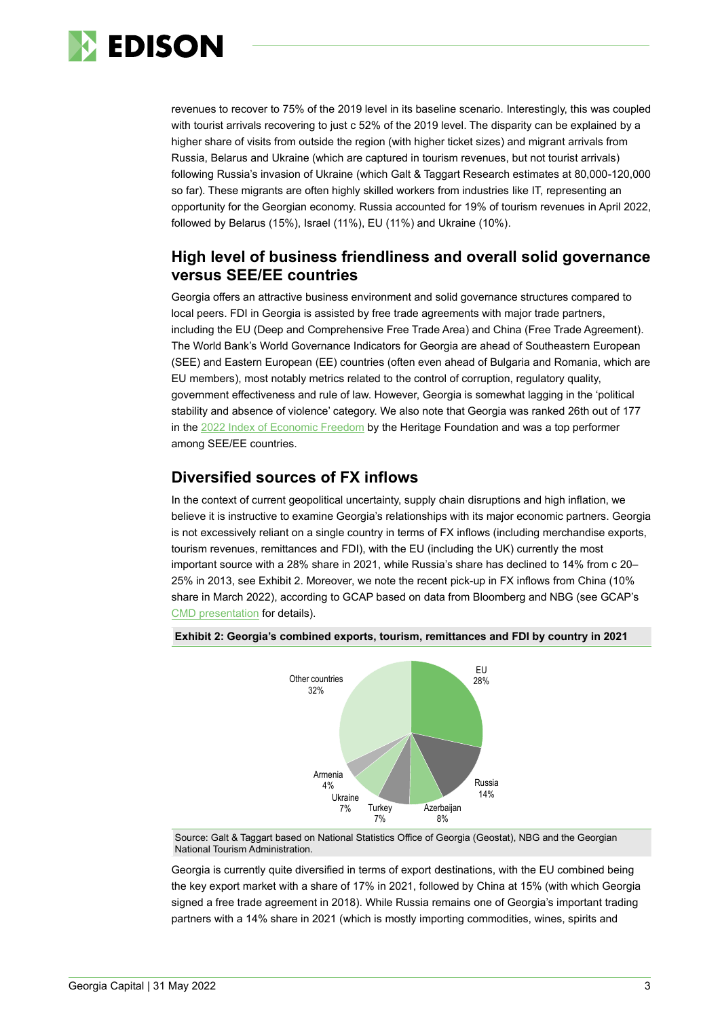

revenues to recover to 75% of the 2019 level in its baseline scenario. Interestingly, this was coupled with tourist arrivals recovering to just c 52% of the 2019 level. The disparity can be explained by a higher share of visits from outside the region (with higher ticket sizes) and migrant arrivals from Russia, Belarus and Ukraine (which are captured in tourism revenues, but not tourist arrivals) following Russia's invasion of Ukraine (which Galt & Taggart Research estimates at 80,000-120,000 so far). These migrants are often highly skilled workers from industries like IT, representing an opportunity for the Georgian economy. Russia accounted for 19% of tourism revenues in April 2022, followed by Belarus (15%), Israel (11%), EU (11%) and Ukraine (10%).

### **High level of business friendliness and overall solid governance versus SEE/EE countries**

Georgia offers an attractive business environment and solid governance structures compared to local peers. FDI in Georgia is assisted by free trade agreements with major trade partners, including the EU (Deep and Comprehensive Free Trade Area) and China (Free Trade Agreement). The World Bank's World Governance Indicators for Georgia are ahead of Southeastern European (SEE) and Eastern European (EE) countries (often even ahead of Bulgaria and Romania, which are EU members), most notably metrics related to the control of corruption, regulatory quality, government effectiveness and rule of law. However, Georgia is somewhat lagging in the 'political stability and absence of violence' category. We also note that Georgia was ranked 26th out of 177 in the 2022 Index of [Economic Freedom](https://www.heritage.org/index/ranking) by the Heritage Foundation and was a top performer among SEE/EE countries.

### **Diversified sources of FX inflows**

In the context of current geopolitical uncertainty, supply chain disruptions and high inflation, we believe it is instructive to examine Georgia's relationships with its major economic partners. Georgia is not excessively reliant on a single country in terms of FX inflows (including merchandise exports, tourism revenues, remittances and FDI), with the EU (including the UK) currently the most important source with a 28% share in 2021, while Russia's share has declined to 14% from c 20– 25% in 2013, see Exhibit 2. Moreover, we note the recent pick-up in FX inflows from China (10% share in March 2022), according to GCAP based on data from Bloomberg and NBG (see GCAP's [CMD presentation](https://georgiacapital.ge/sites/default/files/2022-05/Georgia%20Capital%20Investor%20Day%202022%20-%20Macroeconomic%20overview.pdf) for details).





Source: Galt & Taggart based on National Statistics Office of Georgia (Geostat), NBG and the Georgian National Tourism Administration.

Georgia is currently quite diversified in terms of export destinations, with the EU combined being the key export market with a share of 17% in 2021, followed by China at 15% (with which Georgia signed a free trade agreement in 2018). While Russia remains one of Georgia's important trading partners with a 14% share in 2021 (which is mostly importing commodities, wines, spirits and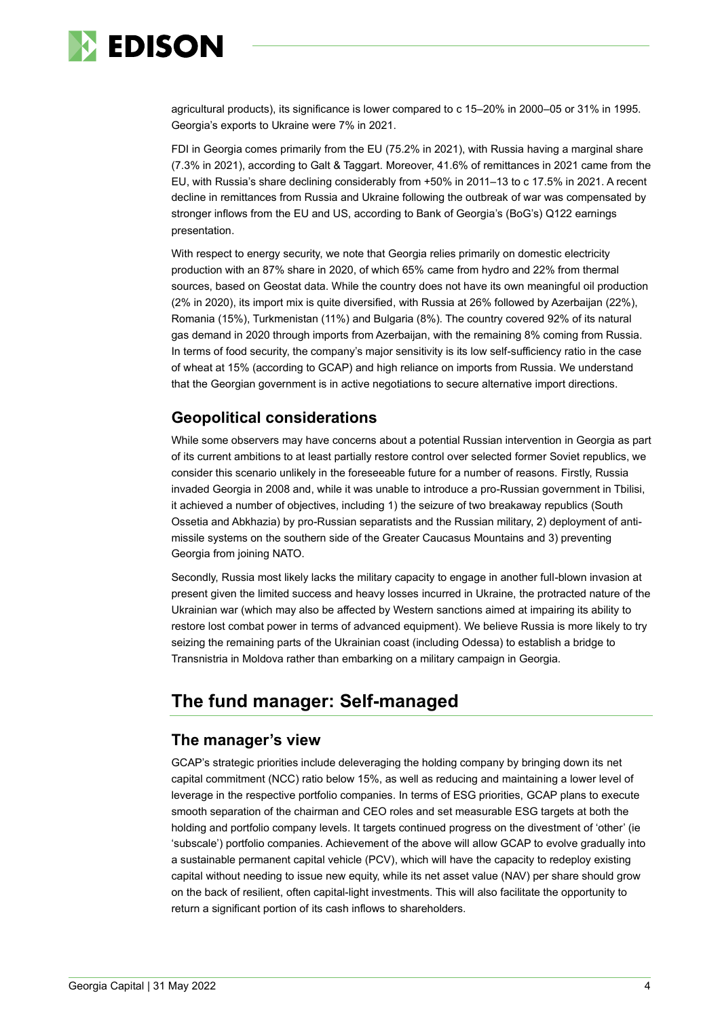

agricultural products), its significance is lower compared to c 15–20% in 2000–05 or 31% in 1995. Georgia's exports to Ukraine were 7% in 2021.

FDI in Georgia comes primarily from the EU (75.2% in 2021), with Russia having a marginal share (7.3% in 2021), according to Galt & Taggart. Moreover, 41.6% of remittances in 2021 came from the EU, with Russia's share declining considerably from +50% in 2011–13 to c 17.5% in 2021. A recent decline in remittances from Russia and Ukraine following the outbreak of war was compensated by stronger inflows from the EU and US, according to Bank of Georgia's (BoG's) Q122 earnings presentation.

With respect to energy security, we note that Georgia relies primarily on domestic electricity production with an 87% share in 2020, of which 65% came from hydro and 22% from thermal sources, based on Geostat data. While the country does not have its own meaningful oil production (2% in 2020), its import mix is quite diversified, with Russia at 26% followed by Azerbaijan (22%), Romania (15%), Turkmenistan (11%) and Bulgaria (8%). The country covered 92% of its natural gas demand in 2020 through imports from Azerbaijan, with the remaining 8% coming from Russia. In terms of food security, the company's major sensitivity is its low self-sufficiency ratio in the case of wheat at 15% (according to GCAP) and high reliance on imports from Russia. We understand that the Georgian government is in active negotiations to secure alternative import directions.

### **Geopolitical considerations**

While some observers may have concerns about a potential Russian intervention in Georgia as part of its current ambitions to at least partially restore control over selected former Soviet republics, we consider this scenario unlikely in the foreseeable future for a number of reasons. Firstly, Russia invaded Georgia in 2008 and, while it was unable to introduce a pro-Russian government in Tbilisi, it achieved a number of objectives, including 1) the seizure of two breakaway republics (South Ossetia and Abkhazia) by pro-Russian separatists and the Russian military, 2) deployment of antimissile systems on the southern side of the Greater Caucasus Mountains and 3) preventing Georgia from joining NATO.

Secondly, Russia most likely lacks the military capacity to engage in another full-blown invasion at present given the limited success and heavy losses incurred in Ukraine, the protracted nature of the Ukrainian war (which may also be affected by Western sanctions aimed at impairing its ability to restore lost combat power in terms of advanced equipment). We believe Russia is more likely to try seizing the remaining parts of the Ukrainian coast (including Odessa) to establish a bridge to Transnistria in Moldova rather than embarking on a military campaign in Georgia.

# **The fund manager: Self-managed**

### **The manager's view**

GCAP's strategic priorities include deleveraging the holding company by bringing down its net capital commitment (NCC) ratio below 15%, as well as reducing and maintaining a lower level of leverage in the respective portfolio companies. In terms of ESG priorities, GCAP plans to execute smooth separation of the chairman and CEO roles and set measurable ESG targets at both the holding and portfolio company levels. It targets continued progress on the divestment of 'other' (ie 'subscale') portfolio companies. Achievement of the above will allow GCAP to evolve gradually into a sustainable permanent capital vehicle (PCV), which will have the capacity to redeploy existing capital without needing to issue new equity, while its net asset value (NAV) per share should grow on the back of resilient, often capital-light investments. This will also facilitate the opportunity to return a significant portion of its cash inflows to shareholders.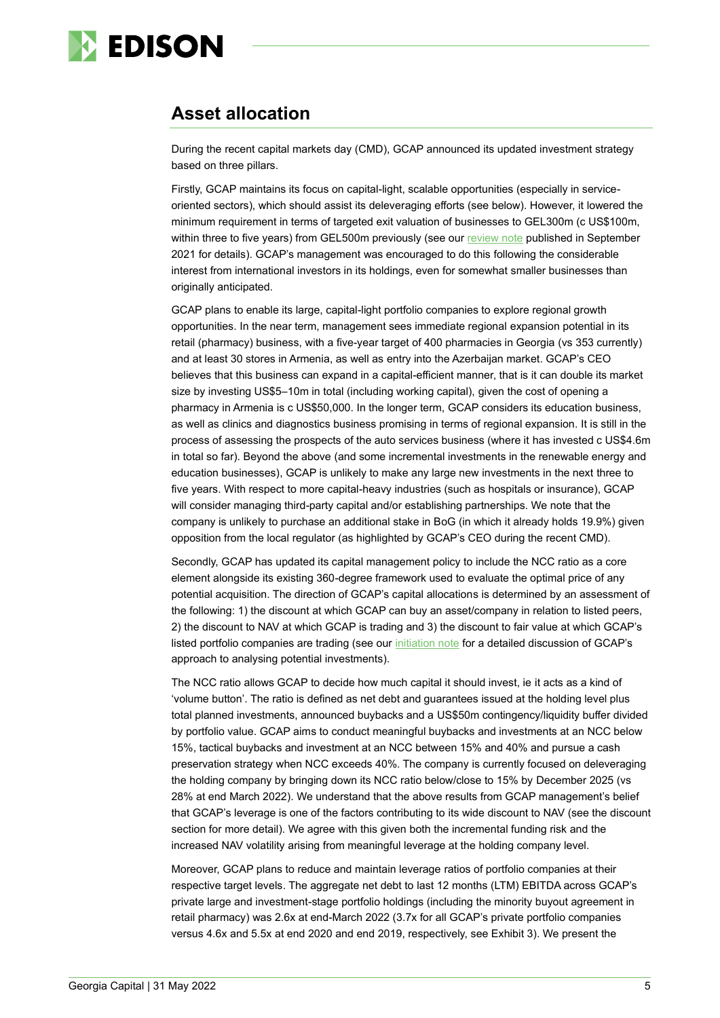

# **Asset allocation**

During the recent capital markets day (CMD), GCAP announced its updated investment strategy based on three pillars.

Firstly, GCAP maintains its focus on capital-light, scalable opportunities (especially in serviceoriented sectors), which should assist its deleveraging efforts (see below). However, it lowered the minimum requirement in terms of targeted exit valuation of businesses to GEL300m (c US\$100m, within three to five years) from GEL500m previously (see ou[r review note](https://www.edisongroup.com/publication/value-creation-on-the-back-of-macro-recovery/29927/) published in September 2021 for details). GCAP's management was encouraged to do this following the considerable interest from international investors in its holdings, even for somewhat smaller businesses than originally anticipated.

GCAP plans to enable its large, capital-light portfolio companies to explore regional growth opportunities. In the near term, management sees immediate regional expansion potential in its retail (pharmacy) business, with a five-year target of 400 pharmacies in Georgia (vs 353 currently) and at least 30 stores in Armenia, as well as entry into the Azerbaijan market. GCAP's CEO believes that this business can expand in a capital-efficient manner, that is it can double its market size by investing US\$5–10m in total (including working capital), given the cost of opening a pharmacy in Armenia is c US\$50,000. In the longer term, GCAP considers its education business, as well as clinics and diagnostics business promising in terms of regional expansion. It is still in the process of assessing the prospects of the auto services business (where it has invested c US\$4.6m in total so far). Beyond the above (and some incremental investments in the renewable energy and education businesses), GCAP is unlikely to make any large new investments in the next three to five years. With respect to more capital-heavy industries (such as hospitals or insurance), GCAP will consider managing third-party capital and/or establishing partnerships. We note that the company is unlikely to purchase an additional stake in BoG (in which it already holds 19.9%) given opposition from the local regulator (as highlighted by GCAP's CEO during the recent CMD).

Secondly, GCAP has updated its capital management policy to include the NCC ratio as a core element alongside its existing 360-degree framework used to evaluate the optimal price of any potential acquisition. The direction of GCAP's capital allocations is determined by an assessment of the following: 1) the discount at which GCAP can buy an asset/company in relation to listed peers, 2) the discount to NAV at which GCAP is trading and 3) the discount to fair value at which GCAP's listed portfolio companies are trading (see our [initiation note](https://www.edisongroup.com/publication/a-private-equity-play-on-georgia/28427/) for a detailed discussion of GCAP's approach to analysing potential investments).

The NCC ratio allows GCAP to decide how much capital it should invest, ie it acts as a kind of 'volume button'. The ratio is defined as net debt and guarantees issued at the holding level plus total planned investments, announced buybacks and a US\$50m contingency/liquidity buffer divided by portfolio value. GCAP aims to conduct meaningful buybacks and investments at an NCC below 15%, tactical buybacks and investment at an NCC between 15% and 40% and pursue a cash preservation strategy when NCC exceeds 40%. The company is currently focused on deleveraging the holding company by bringing down its NCC ratio below/close to 15% by December 2025 (vs 28% at end March 2022). We understand that the above results from GCAP management's belief that GCAP's leverage is one of the factors contributing to its wide discount to NAV (see the discount section for more detail). We agree with this given both the incremental funding risk and the increased NAV volatility arising from meaningful leverage at the holding company level.

Moreover, GCAP plans to reduce and maintain leverage ratios of portfolio companies at their respective target levels. The aggregate net debt to last 12 months (LTM) EBITDA across GCAP's private large and investment-stage portfolio holdings (including the minority buyout agreement in retail pharmacy) was 2.6x at end-March 2022 (3.7x for all GCAP's private portfolio companies versus 4.6x and 5.5x at end 2020 and end 2019, respectively, see Exhibit 3). We present the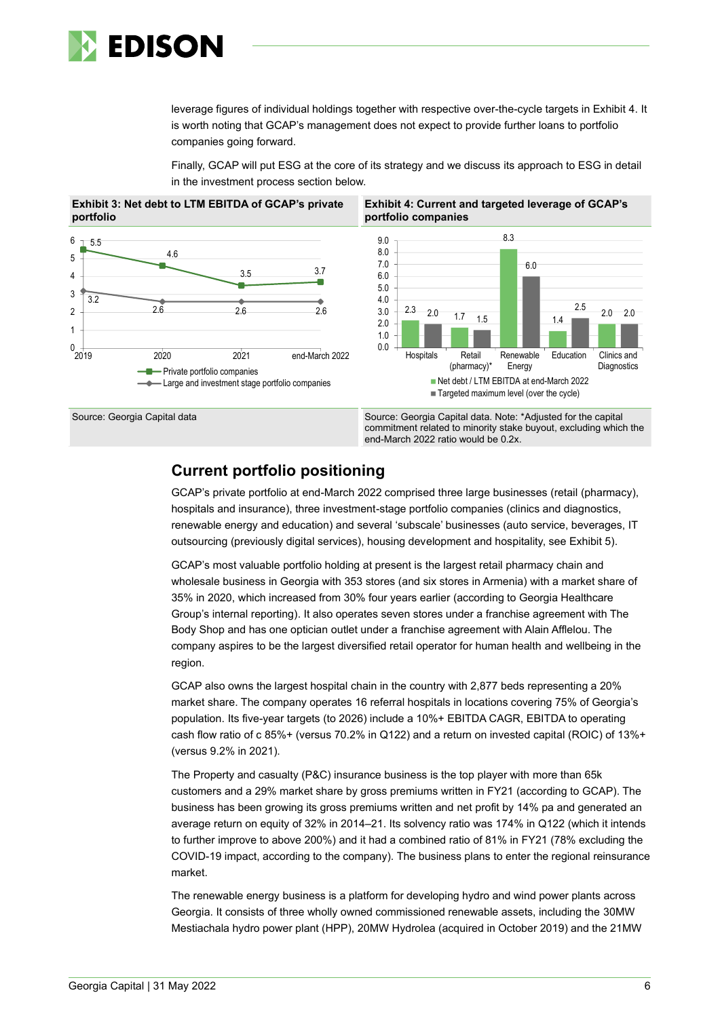

leverage figures of individual holdings together with respective over-the-cycle targets in Exhibit 4. It is worth noting that GCAP's management does not expect to provide further loans to portfolio companies going forward.

Finally, GCAP will put ESG at the core of its strategy and we discuss its approach to ESG in detail in the investment process section below.





 $0 + 2019$ 

commitment related to minority stake buyout, excluding which the end-March 2022 ratio would be 0.2x.

### **Current portfolio positioning**

GCAP's private portfolio at end-March 2022 comprised three large businesses (retail (pharmacy), hospitals and insurance), three investment-stage portfolio companies (clinics and diagnostics, renewable energy and education) and several 'subscale' businesses (auto service, beverages, IT outsourcing (previously digital services), housing development and hospitality, see Exhibit 5).

GCAP's most valuable portfolio holding at present is the largest retail pharmacy chain and wholesale business in Georgia with 353 stores (and six stores in Armenia) with a market share of 35% in 2020, which increased from 30% four years earlier (according to Georgia Healthcare Group's internal reporting). It also operates seven stores under a franchise agreement with The Body Shop and has one optician outlet under a franchise agreement with Alain Afflelou. The company aspires to be the largest diversified retail operator for human health and wellbeing in the region.

GCAP also owns the largest hospital chain in the country with 2,877 beds representing a 20% market share. The company operates 16 referral hospitals in locations covering 75% of Georgia's population. Its five-year targets (to 2026) include a 10%+ EBITDA CAGR, EBITDA to operating cash flow ratio of c 85%+ (versus 70.2% in Q122) and a return on invested capital (ROIC) of 13%+ (versus 9.2% in 2021).

The Property and casualty (P&C) insurance business is the top player with more than 65k customers and a 29% market share by gross premiums written in FY21 (according to GCAP). The business has been growing its gross premiums written and net profit by 14% pa and generated an average return on equity of 32% in 2014–21. Its solvency ratio was 174% in Q122 (which it intends to further improve to above 200%) and it had a combined ratio of 81% in FY21 (78% excluding the COVID-19 impact, according to the company). The business plans to enter the regional reinsurance market.

The renewable energy business is a platform for developing hydro and wind power plants across Georgia. It consists of three wholly owned commissioned renewable assets, including the 30MW Mestiachala hydro power plant (HPP), 20MW Hydrolea (acquired in October 2019) and the 21MW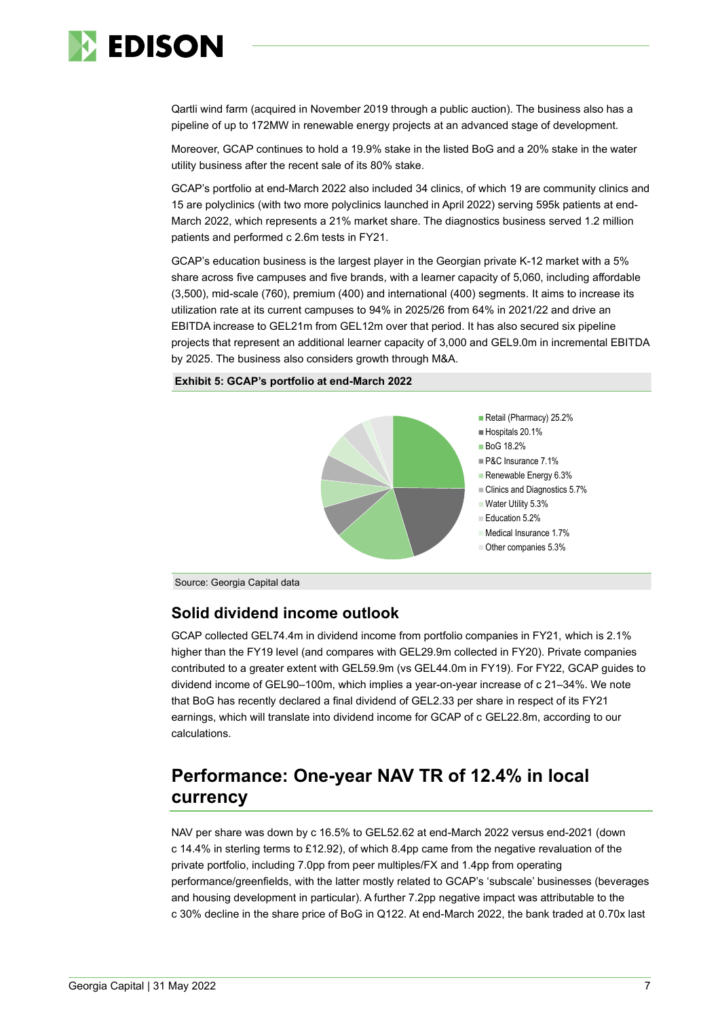

Qartli wind farm (acquired in November 2019 through a public auction). The business also has a pipeline of up to 172MW in renewable energy projects at an advanced stage of development.

Moreover, GCAP continues to hold a 19.9% stake in the listed BoG and a 20% stake in the water utility business after the recent sale of its 80% stake.

GCAP's portfolio at end-March 2022 also included 34 clinics, of which 19 are community clinics and 15 are polyclinics (with two more polyclinics launched in April 2022) serving 595k patients at end-March 2022, which represents a 21% market share. The diagnostics business served 1.2 million patients and performed c 2.6m tests in FY21.

GCAP's education business is the largest player in the Georgian private K-12 market with a 5% share across five campuses and five brands, with a learner capacity of 5,060, including affordable (3,500), mid-scale (760), premium (400) and international (400) segments. It aims to increase its utilization rate at its current campuses to 94% in 2025/26 from 64% in 2021/22 and drive an EBITDA increase to GEL21m from GEL12m over that period. It has also secured six pipeline projects that represent an additional learner capacity of 3,000 and GEL9.0m in incremental EBITDA by 2025. The business also considers growth through M&A.





Source: Georgia Capital data

### **Solid dividend income outlook**

GCAP collected GEL74.4m in dividend income from portfolio companies in FY21, which is 2.1% higher than the FY19 level (and compares with GEL29.9m collected in FY20). Private companies contributed to a greater extent with GEL59.9m (vs GEL44.0m in FY19). For FY22, GCAP guides to dividend income of GEL90–100m, which implies a year-on-year increase of c 21–34%. We note that BoG has recently declared a final dividend of GEL2.33 per share in respect of its FY21 earnings, which will translate into dividend income for GCAP of c GEL22.8m, according to our calculations.

# **Performance: One-year NAV TR of 12.4% in local currency**

NAV per share was down by c 16.5% to GEL52.62 at end-March 2022 versus end-2021 (down c 14.4% in sterling terms to £12.92), of which 8.4pp came from the negative revaluation of the private portfolio, including 7.0pp from peer multiples/FX and 1.4pp from operating performance/greenfields, with the latter mostly related to GCAP's 'subscale' businesses (beverages and housing development in particular). A further 7.2pp negative impact was attributable to the c 30% decline in the share price of BoG in Q122. At end-March 2022, the bank traded at 0.70x last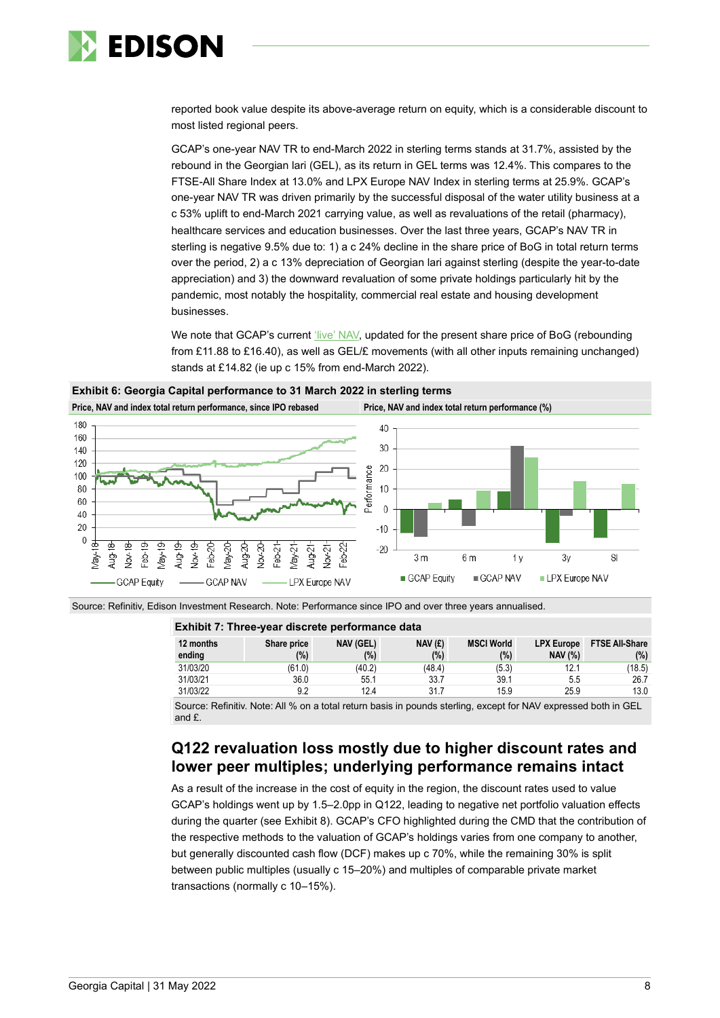

reported book value despite its above-average return on equity, which is a considerable discount to most listed regional peers.

GCAP's one-year NAV TR to end-March 2022 in sterling terms stands at 31.7%, assisted by the rebound in the Georgian lari (GEL), as its return in GEL terms was 12.4%. This compares to the FTSE-All Share Index at 13.0% and LPX Europe NAV Index in sterling terms at 25.9%. GCAP's one-year NAV TR was driven primarily by the successful disposal of the water utility business at a c 53% uplift to end-March 2021 carrying value, as well as revaluations of the retail (pharmacy), healthcare services and education businesses. Over the last three years, GCAP's NAV TR in sterling is negative 9.5% due to: 1) a c 24% decline in the share price of BoG in total return terms over the period, 2) a c 13% depreciation of Georgian lari against sterling (despite the year-to-date appreciation) and 3) the downward revaluation of some private holdings particularly hit by the pandemic, most notably the hospitality, commercial real estate and housing development businesses.

We note that GCAP's current ['live' NAV,](https://georgiacapital.ge/investor-toolkit/discount-map) updated for the present share price of BoG (rebounding from £11.88 to £16.40), as well as GEL/£ movements (with all other inputs remaining unchanged) stands at £14.82 (ie up c 15% from end-March 2022).



**Exhibit 6: Georgia Capital performance to 31 March 2022 in sterling terms**

Source: Refinitiv, Edison Investment Research. Note: Performance since IPO and over three years annualised.

#### **Exhibit 7: Three-year discrete performance data**

| 12 months<br>ending | Share price<br>(%) | <b>NAV (GEL)</b><br>(9) | NAV(E)<br>(%) | <b>MSCI World</b><br>(%) | <b>LPX Europe</b><br><b>NAV (%)</b> | <b>FTSE All-Share</b><br>(%) |
|---------------------|--------------------|-------------------------|---------------|--------------------------|-------------------------------------|------------------------------|
| 31/03/20            | (61.0)             | (40.2)                  | (48.4)        | (5.3)                    | 12.1                                | (18.5)                       |
| 31/03/21            | 36.0               | 55.1                    | 33.7          | 39.1                     | 5.5                                 | 26.7                         |
| 31/03/22            | 9.2                | 12.4                    | 31.7          | 15.9                     | 25.9                                | 13.0                         |

Source: Refinitiv. Note: All % on a total return basis in pounds sterling, except for NAV expressed both in GEL and £.

# **Q122 revaluation loss mostly due to higher discount rates and lower peer multiples; underlying performance remains intact**

As a result of the increase in the cost of equity in the region, the discount rates used to value GCAP's holdings went up by 1.5–2.0pp in Q122, leading to negative net portfolio valuation effects during the quarter (see Exhibit 8). GCAP's CFO highlighted during the CMD that the contribution of the respective methods to the valuation of GCAP's holdings varies from one company to another, but generally discounted cash flow (DCF) makes up c 70%, while the remaining 30% is split between public multiples (usually c 15–20%) and multiples of comparable private market transactions (normally c 10–15%).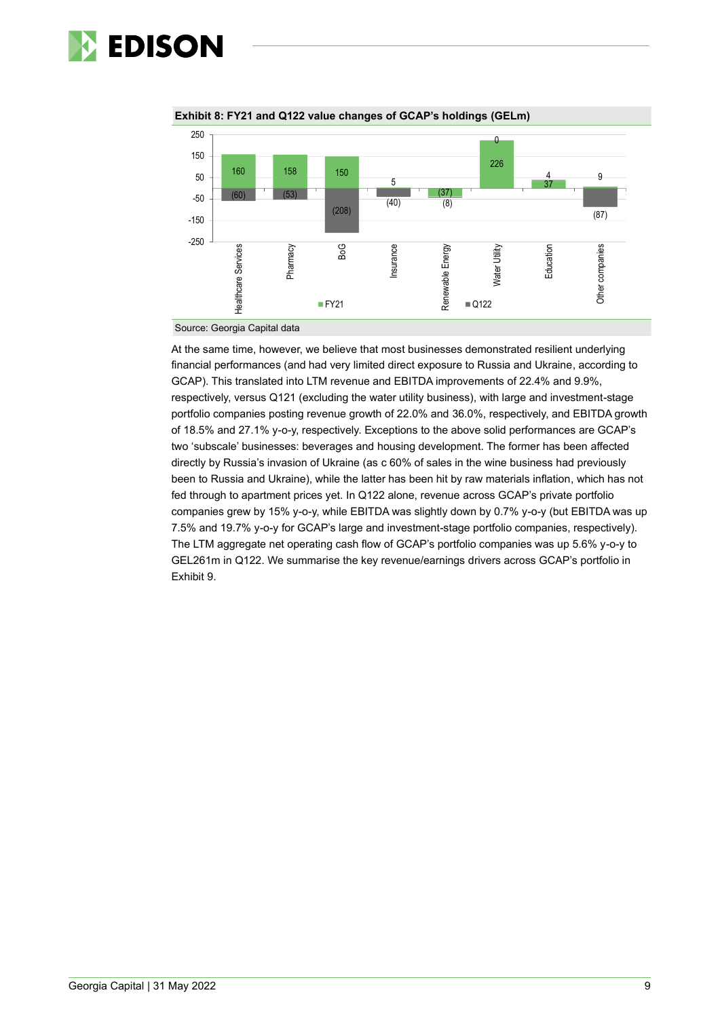



**Exhibit 8: FY21 and Q122 value changes of GCAP's holdings (GELm)**

Source: Georgia Capital data

At the same time, however, we believe that most businesses demonstrated resilient underlying financial performances (and had very limited direct exposure to Russia and Ukraine, according to GCAP). This translated into LTM revenue and EBITDA improvements of 22.4% and 9.9%, respectively, versus Q121 (excluding the water utility business), with large and investment-stage portfolio companies posting revenue growth of 22.0% and 36.0%, respectively, and EBITDA growth of 18.5% and 27.1% y-o-y, respectively. Exceptions to the above solid performances are GCAP's two 'subscale' businesses: beverages and housing development. The former has been affected directly by Russia's invasion of Ukraine (as c 60% of sales in the wine business had previously been to Russia and Ukraine), while the latter has been hit by raw materials inflation, which has not fed through to apartment prices yet. In Q122 alone, revenue across GCAP's private portfolio companies grew by 15% y-o-y, while EBITDA was slightly down by 0.7% y-o-y (but EBITDA was up 7.5% and 19.7% y-o-y for GCAP's large and investment-stage portfolio companies, respectively). The LTM aggregate net operating cash flow of GCAP's portfolio companies was up 5.6% y-o-y to GEL261m in Q122. We summarise the key revenue/earnings drivers across GCAP's portfolio in Exhibit 9.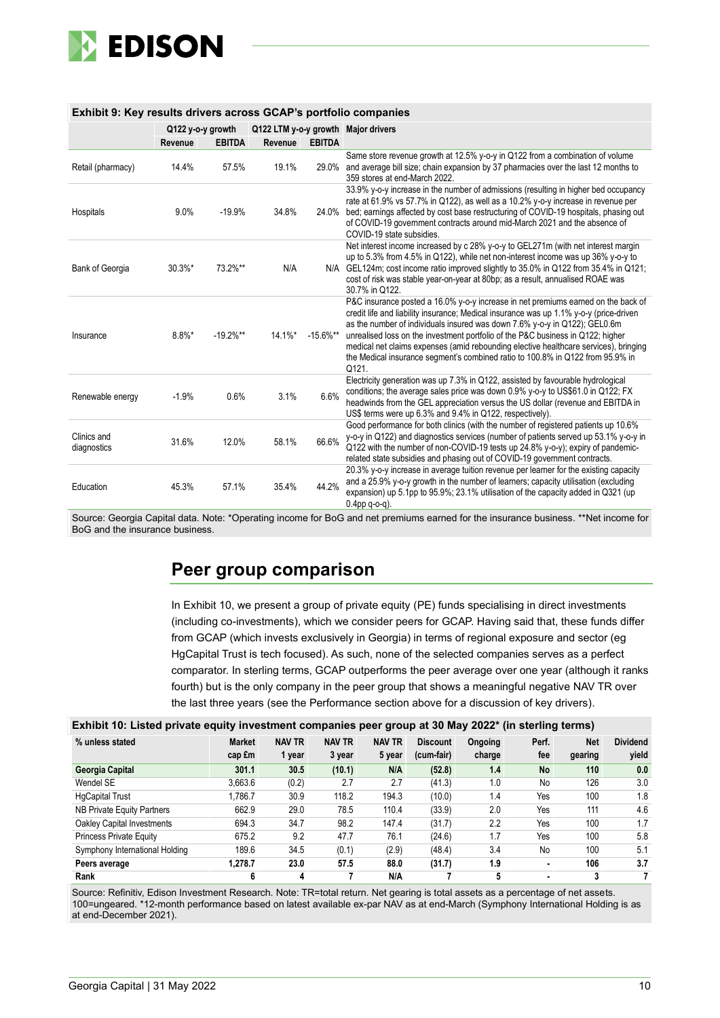

| Exhibit 9: Key results drivers across GCAP's portfolio companies |                   |               |            |               |                                                                                                                                                                                                                                                                                                                                                                                                                                                                                                                                 |  |  |  |
|------------------------------------------------------------------|-------------------|---------------|------------|---------------|---------------------------------------------------------------------------------------------------------------------------------------------------------------------------------------------------------------------------------------------------------------------------------------------------------------------------------------------------------------------------------------------------------------------------------------------------------------------------------------------------------------------------------|--|--|--|
|                                                                  | Q122 y-o-y growth |               |            |               | Q122 LTM y-o-y growth Major drivers                                                                                                                                                                                                                                                                                                                                                                                                                                                                                             |  |  |  |
|                                                                  | Revenue           | <b>EBITDA</b> | Revenue    | <b>EBITDA</b> |                                                                                                                                                                                                                                                                                                                                                                                                                                                                                                                                 |  |  |  |
| Retail (pharmacy)                                                | 14.4%             | 57.5%         | 19.1%      | 29.0%         | Same store revenue growth at 12.5% y-o-y in Q122 from a combination of volume<br>and average bill size; chain expansion by 37 pharmacies over the last 12 months to<br>359 stores at end-March 2022.                                                                                                                                                                                                                                                                                                                            |  |  |  |
| Hospitals                                                        | 9.0%              | $-19.9%$      | 34.8%      |               | 33.9% y-o-y increase in the number of admissions (resulting in higher bed occupancy<br>rate at 61.9% vs 57.7% in Q122), as well as a 10.2% y-o-y increase in revenue per<br>24.0% bed; earnings affected by cost base restructuring of COVID-19 hospitals, phasing out<br>of COVID-19 government contracts around mid-March 2021 and the absence of<br>COVID-19 state subsidies.                                                                                                                                                |  |  |  |
| Bank of Georgia                                                  | 30.3%*            | 73.2%**       | N/A        |               | Net interest income increased by c 28% y-o-y to GEL271m (with net interest margin<br>up to 5.3% from 4.5% in Q122), while net non-interest income was up 36% y-o-y to<br>N/A GEL124m; cost income ratio improved slightly to 35.0% in Q122 from 35.4% in Q121;<br>cost of risk was stable year-on-year at 80bp; as a result, annualised ROAE was<br>30.7% in Q122.                                                                                                                                                              |  |  |  |
| Insurance                                                        | $8.8\%$ *         | $-19.2%$ **   | $14.1\%$ * | $-15.6\%$ **  | P&C insurance posted a 16.0% y-o-y increase in net premiums earned on the back of<br>credit life and liability insurance; Medical insurance was up 1.1% y-o-y (price-driven<br>as the number of individuals insured was down 7.6% y-o-y in Q122); GEL0.6m<br>unrealised loss on the investment portfolio of the P&C business in Q122; higher<br>medical net claims expenses (amid rebounding elective healthcare services), bringing<br>the Medical insurance segment's combined ratio to 100.8% in Q122 from 95.9% in<br>Q121. |  |  |  |
| Renewable energy                                                 | $-1.9%$           | 0.6%          | 3.1%       | 6.6%          | Electricity generation was up 7.3% in Q122, assisted by favourable hydrological<br>conditions; the average sales price was down 0.9% y-o-y to US\$61.0 in Q122; FX<br>headwinds from the GEL appreciation versus the US dollar (revenue and EBITDA in<br>US\$ terms were up 6.3% and 9.4% in Q122, respectively).                                                                                                                                                                                                               |  |  |  |
| Clinics and<br>diagnostics                                       | 31.6%             | 12.0%         | 58.1%      | 66.6%         | Good performance for both clinics (with the number of registered patients up 10.6%<br>y-o-y in Q122) and diagnostics services (number of patients served up 53.1% y-o-y in<br>Q122 with the number of non-COVID-19 tests up 24.8% y-o-y); expiry of pandemic-<br>related state subsidies and phasing out of COVID-19 government contracts.                                                                                                                                                                                      |  |  |  |
| Education                                                        | 45.3%             | 57.1%         | 35.4%      | 44.2%         | 20.3% y-o-y increase in average tuition revenue per learner for the existing capacity<br>and a 25.9% y-o-y growth in the number of learners; capacity utilisation (excluding<br>expansion) up 5.1pp to 95.9%; 23.1% utilisation of the capacity added in Q321 (up<br>$0.4$ pp q-o-q).                                                                                                                                                                                                                                           |  |  |  |

#### **Exhibit 9: Key results drivers across GCAP's portfolio companies**

Source: Georgia Capital data. Note: \*Operating income for BoG and net premiums earned for the insurance business. \*\*Net income for BoG and the insurance business.

## **Peer group comparison**

In Exhibit 10, we present a group of private equity (PE) funds specialising in direct investments (including co-investments), which we consider peers for GCAP. Having said that, these funds differ from GCAP (which invests exclusively in Georgia) in terms of regional exposure and sector (eg HgCapital Trust is tech focused). As such, none of the selected companies serves as a perfect comparator. In sterling terms, GCAP outperforms the peer average over one year (although it ranks fourth) but is the only company in the peer group that shows a meaningful negative NAV TR over the last three years (see the Performance section above for a discussion of key drivers).

| Exhibit 10: Listed private equity investment companies peer group at 30 May 2022* (in sterling terms) |  |  |  |  |  |  |  |
|-------------------------------------------------------------------------------------------------------|--|--|--|--|--|--|--|
|-------------------------------------------------------------------------------------------------------|--|--|--|--|--|--|--|

| % unless stated                | <b>Market</b> | <b>NAV TR</b> | <b>NAV TR</b> | <b>NAV TR</b> | <b>Discount</b> | Ongoing | Perf.     | <b>Net</b> | <b>Dividend</b> |
|--------------------------------|---------------|---------------|---------------|---------------|-----------------|---------|-----------|------------|-----------------|
|                                | cap £m        | 1 year        | 3 year        | 5 year        | (cum-fair)      | charge  | fee       | gearing    | yield           |
| Georgia Capital                | 301.1         | 30.5          | (10.1)        | N/A           | (52.8)          | 1.4     | <b>No</b> | 110        | 0.0             |
| Wendel SE                      | 3,663.6       | (0.2)         | 2.7           | 2.7           | (41.3)          | 1.0     | No        | 126        | 3.0             |
| <b>HgCapital Trust</b>         | .786.7        | 30.9          | 118.2         | 194.3         | (10.0)          | 1.4     | Yes       | 100        | 1.8             |
| NB Private Equity Partners     | 662.9         | 29.0          | 78.5          | 110.4         | (33.9)          | 2.0     | Yes       | 111        | 4.6             |
| Oakley Capital Investments     | 694.3         | 34.7          | 98.2          | 147.4         | (31.7)          | 2.2     | Yes       | 100        | 1.7             |
| <b>Princess Private Equity</b> | 675.2         | 9.2           | 47.7          | 76.1          | (24.6)          | 1.7     | Yes       | 100        | 5.8             |
| Symphony International Holding | 189.6         | 34.5          | (0.1)         | (2.9)         | (48.4)          | 3.4     | No        | 100        | 5.1             |
| Peers average                  | 1.278.7       | 23.0          | 57.5          | 88.0          | (31.7)          | 1.9     | ۰         | 106        | 3.7             |
| Rank                           |               | 4             |               | N/A           |                 |         | ٠         | 3          |                 |

Source: Refinitiv, Edison Investment Research. Note: TR=total return. Net gearing is total assets as a percentage of net assets. 100=ungeared. \*12-month performance based on latest available ex-par NAV as at end-March (Symphony International Holding is as at end-December 2021).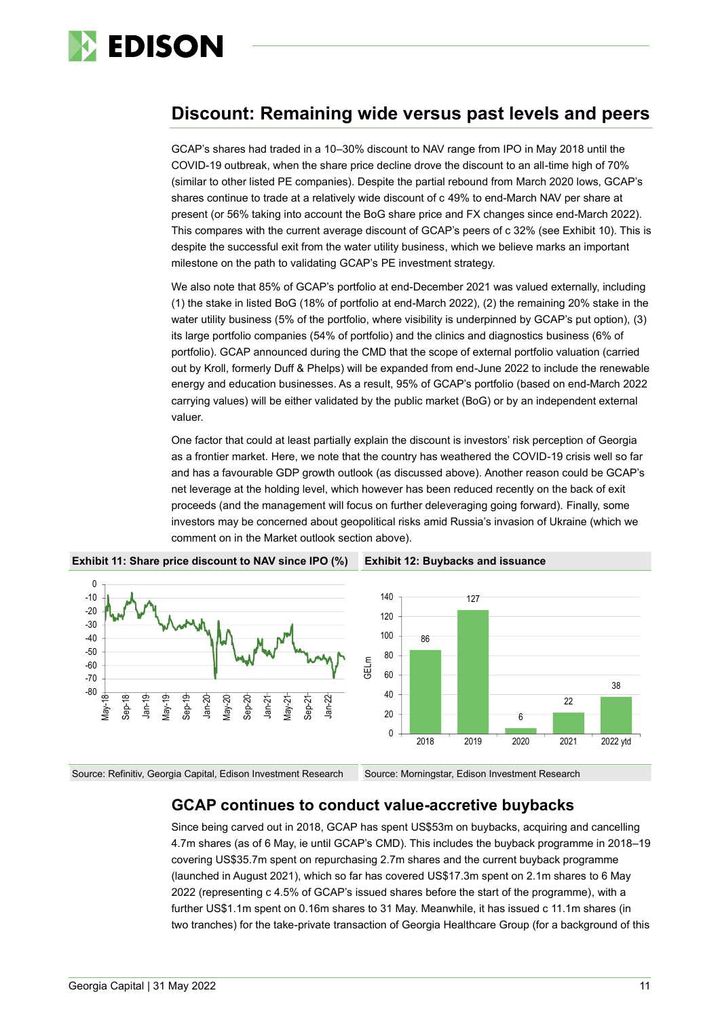

# **Discount: Remaining wide versus past levels and peers**

GCAP's shares had traded in a 10–30% discount to NAV range from IPO in May 2018 until the COVID-19 outbreak, when the share price decline drove the discount to an all-time high of 70% (similar to other listed PE companies). Despite the partial rebound from March 2020 lows, GCAP's shares continue to trade at a relatively wide discount of c 49% to end-March NAV per share at present (or 56% taking into account the BoG share price and FX changes since end-March 2022). This compares with the current average discount of GCAP's peers of c 32% (see Exhibit 10). This is despite the successful exit from the water utility business, which we believe marks an important milestone on the path to validating GCAP's PE investment strategy.

We also note that 85% of GCAP's portfolio at end-December 2021 was valued externally, including (1) the stake in listed BoG (18% of portfolio at end-March 2022), (2) the remaining 20% stake in the water utility business (5% of the portfolio, where visibility is underpinned by GCAP's put option), (3) its large portfolio companies (54% of portfolio) and the clinics and diagnostics business (6% of portfolio). GCAP announced during the CMD that the scope of external portfolio valuation (carried out by Kroll, formerly Duff & Phelps) will be expanded from end-June 2022 to include the renewable energy and education businesses. As a result, 95% of GCAP's portfolio (based on end-March 2022 carrying values) will be either validated by the public market (BoG) or by an independent external valuer.

One factor that could at least partially explain the discount is investors' risk perception of Georgia as a frontier market. Here, we note that the country has weathered the COVID-19 crisis well so far and has a favourable GDP growth outlook (as discussed above). Another reason could be GCAP's net leverage at the holding level, which however has been reduced recently on the back of exit proceeds (and the management will focus on further deleveraging going forward). Finally, some investors may be concerned about geopolitical risks amid Russia's invasion of Ukraine (which we comment on in the Market outlook section above).





Source: Refinitiv, Georgia Capital, Edison Investment Research Source: Morningstar, Edison Investment Research

### **GCAP continues to conduct value-accretive buybacks**

Since being carved out in 2018, GCAP has spent US\$53m on buybacks, acquiring and cancelling 4.7m shares (as of 6 May, ie until GCAP's CMD). This includes the buyback programme in 2018–19 covering US\$35.7m spent on repurchasing 2.7m shares and the current buyback programme (launched in August 2021), which so far has covered US\$17.3m spent on 2.1m shares to 6 May 2022 (representing c 4.5% of GCAP's issued shares before the start of the programme), with a further US\$1.1m spent on 0.16m shares to 31 May. Meanwhile, it has issued c 11.1m shares (in two tranches) for the take-private transaction of Georgia Healthcare Group (for a background of this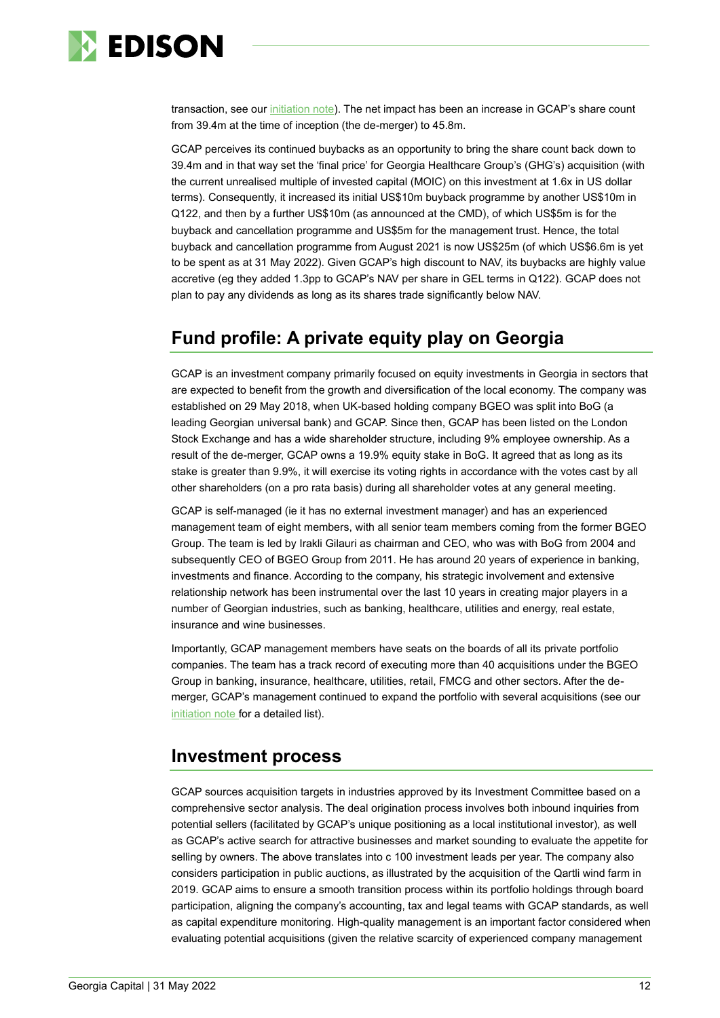

transaction, see our [initiation note\)](https://www.edisongroup.com/publication/a-private-equity-play-on-georgia/28427/). The net impact has been an increase in GCAP's share count from 39.4m at the time of inception (the de-merger) to 45.8m.

GCAP perceives its continued buybacks as an opportunity to bring the share count back down to 39.4m and in that way set the 'final price' for Georgia Healthcare Group's (GHG's) acquisition (with the current unrealised multiple of invested capital (MOIC) on this investment at 1.6x in US dollar terms). Consequently, it increased its initial US\$10m buyback programme by another US\$10m in Q122, and then by a further US\$10m (as announced at the CMD), of which US\$5m is for the buyback and cancellation programme and US\$5m for the management trust. Hence, the total buyback and cancellation programme from August 2021 is now US\$25m (of which US\$6.6m is yet to be spent as at 31 May 2022). Given GCAP's high discount to NAV, its buybacks are highly value accretive (eg they added 1.3pp to GCAP's NAV per share in GEL terms in Q122). GCAP does not plan to pay any dividends as long as its shares trade significantly below NAV.

# **Fund profile: A private equity play on Georgia**

GCAP is an investment company primarily focused on equity investments in Georgia in sectors that are expected to benefit from the growth and diversification of the local economy. The company was established on 29 May 2018, when UK-based holding company BGEO was split into BoG (a leading Georgian universal bank) and GCAP. Since then, GCAP has been listed on the London Stock Exchange and has a wide shareholder structure, including 9% employee ownership. As a result of the de-merger, GCAP owns a 19.9% equity stake in BoG. It agreed that as long as its stake is greater than 9.9%, it will exercise its voting rights in accordance with the votes cast by all other shareholders (on a pro rata basis) during all shareholder votes at any general meeting.

GCAP is self-managed (ie it has no external investment manager) and has an experienced management team of eight members, with all senior team members coming from the former BGEO Group. The team is led by Irakli Gilauri as chairman and CEO, who was with BoG from 2004 and subsequently CEO of BGEO Group from 2011. He has around 20 years of experience in banking, investments and finance. According to the company, his strategic involvement and extensive relationship network has been instrumental over the last 10 years in creating major players in a number of Georgian industries, such as banking, healthcare, utilities and energy, real estate, insurance and wine businesses.

Importantly, GCAP management members have seats on the boards of all its private portfolio companies. The team has a track record of executing more than 40 acquisitions under the BGEO Group in banking, insurance, healthcare, utilities, retail, FMCG and other sectors. After the demerger, GCAP's management continued to expand the portfolio with several acquisitions (see our [initiation note](https://www.edisongroup.com/publication/a-private-equity-play-on-georgia/28427/) for a detailed list).

# **Investment process**

GCAP sources acquisition targets in industries approved by its Investment Committee based on a comprehensive sector analysis. The deal origination process involves both inbound inquiries from potential sellers (facilitated by GCAP's unique positioning as a local institutional investor), as well as GCAP's active search for attractive businesses and market sounding to evaluate the appetite for selling by owners. The above translates into c 100 investment leads per year. The company also considers participation in public auctions, as illustrated by the acquisition of the Qartli wind farm in 2019. GCAP aims to ensure a smooth transition process within its portfolio holdings through board participation, aligning the company's accounting, tax and legal teams with GCAP standards, as well as capital expenditure monitoring. High-quality management is an important factor considered when evaluating potential acquisitions (given the relative scarcity of experienced company management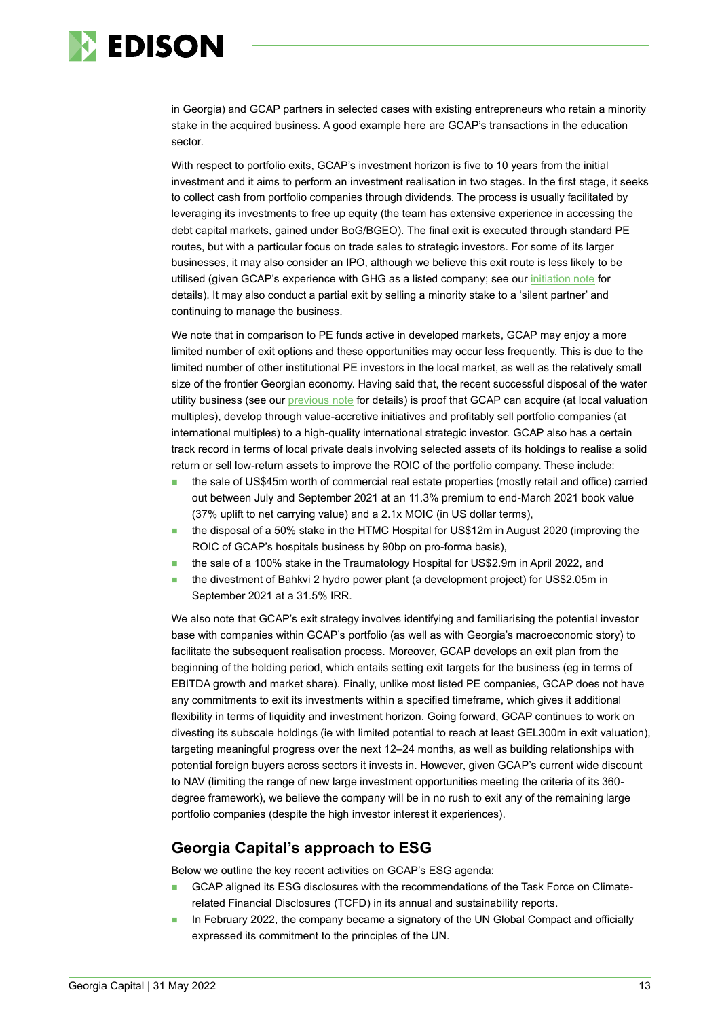

in Georgia) and GCAP partners in selected cases with existing entrepreneurs who retain a minority stake in the acquired business. A good example here are GCAP's transactions in the education sector.

With respect to portfolio exits, GCAP's investment horizon is five to 10 years from the initial investment and it aims to perform an investment realisation in two stages. In the first stage, it seeks to collect cash from portfolio companies through dividends. The process is usually facilitated by leveraging its investments to free up equity (the team has extensive experience in accessing the debt capital markets, gained under BoG/BGEO). The final exit is executed through standard PE routes, but with a particular focus on trade sales to strategic investors. For some of its larger businesses, it may also consider an IPO, although we believe this exit route is less likely to be utilised (given GCAP's experience with GHG as a listed company; see ou[r initiation note](https://www.edisongroup.com/publication/a-private-equity-play-on-georgia/28427/) for details). It may also conduct a partial exit by selling a minority stake to a 'silent partner' and continuing to manage the business.

We note that in comparison to PE funds active in developed markets, GCAP may enjoy a more limited number of exit options and these opportunities may occur less frequently. This is due to the limited number of other institutional PE investors in the local market, as well as the relatively small size of the frontier Georgian economy. Having said that, the recent successful disposal of the water utility business (see our [previous note](https://www.edisongroup.com/publication/sale-of-majority-stake-in-the-water-utility-business/30368/) for details) is proof that GCAP can acquire (at local valuation multiples), develop through value-accretive initiatives and profitably sell portfolio companies (at international multiples) to a high-quality international strategic investor. GCAP also has a certain track record in terms of local private deals involving selected assets of its holdings to realise a solid return or sell low-return assets to improve the ROIC of the portfolio company. These include:

- the sale of US\$45m worth of commercial real estate properties (mostly retail and office) carried out between July and September 2021 at an 11.3% premium to end-March 2021 book value (37% uplift to net carrying value) and a 2.1x MOIC (in US dollar terms),
- the disposal of a 50% stake in the HTMC Hospital for US\$12m in August 2020 (improving the ROIC of GCAP's hospitals business by 90bp on pro-forma basis),
- the sale of a 100% stake in the Traumatology Hospital for US\$2.9m in April 2022, and
- the divestment of Bahkvi 2 hydro power plant (a development project) for US\$2.05m in September 2021 at a 31.5% IRR.

We also note that GCAP's exit strategy involves identifying and familiarising the potential investor base with companies within GCAP's portfolio (as well as with Georgia's macroeconomic story) to facilitate the subsequent realisation process. Moreover, GCAP develops an exit plan from the beginning of the holding period, which entails setting exit targets for the business (eg in terms of EBITDA growth and market share). Finally, unlike most listed PE companies, GCAP does not have any commitments to exit its investments within a specified timeframe, which gives it additional flexibility in terms of liquidity and investment horizon. Going forward, GCAP continues to work on divesting its subscale holdings (ie with limited potential to reach at least GEL300m in exit valuation), targeting meaningful progress over the next 12–24 months, as well as building relationships with potential foreign buyers across sectors it invests in. However, given GCAP's current wide discount to NAV (limiting the range of new large investment opportunities meeting the criteria of its 360 degree framework), we believe the company will be in no rush to exit any of the remaining large portfolio companies (despite the high investor interest it experiences).

### **Georgia Capital's approach to ESG**

Below we outline the key recent activities on GCAP's ESG agenda:

- GCAP aligned its ESG disclosures with the recommendations of the Task Force on Climaterelated Financial Disclosures (TCFD) in its annual and sustainability reports.
- In February 2022, the company became a signatory of the UN Global Compact and officially expressed its commitment to the principles of the UN.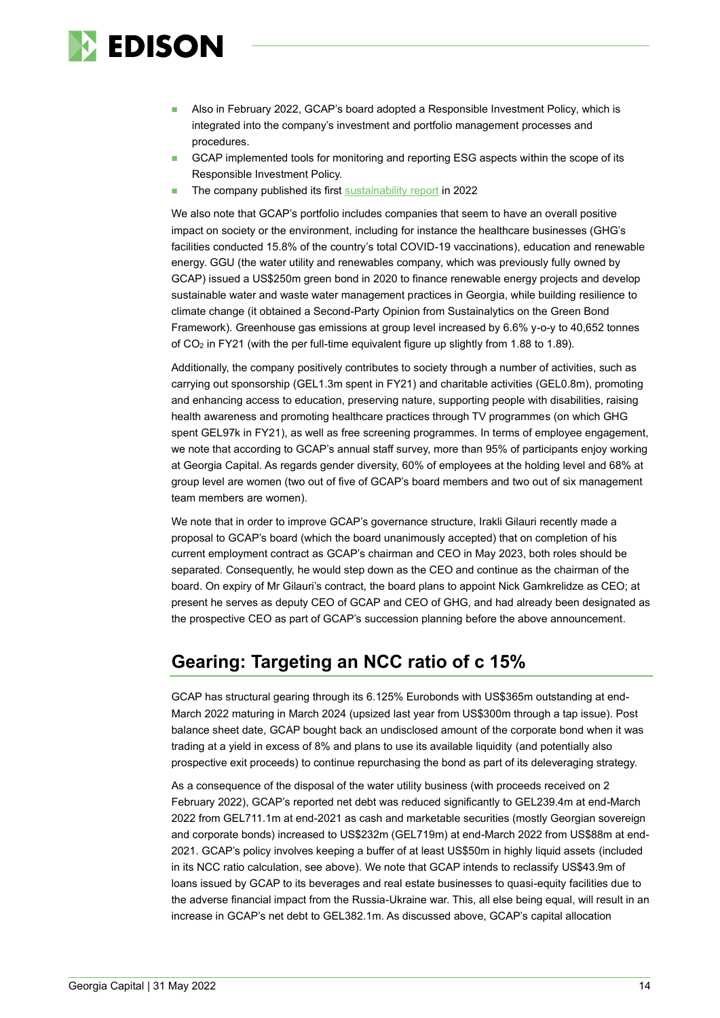

- Also in February 2022, GCAP's board adopted a Responsible Investment Policy, which is integrated into the company's investment and portfolio management processes and procedures.
- GCAP implemented tools for monitoring and reporting ESG aspects within the scope of its Responsible Investment Policy.
- The company published its first [sustainability report](https://georgiacapital.ge/ir/sustainability-reports) in 2022

We also note that GCAP's portfolio includes companies that seem to have an overall positive impact on society or the environment, including for instance the healthcare businesses (GHG's facilities conducted 15.8% of the country's total COVID-19 vaccinations), education and renewable energy. GGU (the water utility and renewables company, which was previously fully owned by GCAP) issued a US\$250m green bond in 2020 to finance renewable energy projects and develop sustainable water and waste water management practices in Georgia, while building resilience to climate change (it obtained a Second-Party Opinion from Sustainalytics on the Green Bond Framework). Greenhouse gas emissions at group level increased by 6.6% y-o-y to 40,652 tonnes of CO<sup>2</sup> in FY21 (with the per full-time equivalent figure up slightly from 1.88 to 1.89).

Additionally, the company positively contributes to society through a number of activities, such as carrying out sponsorship (GEL1.3m spent in FY21) and charitable activities (GEL0.8m), promoting and enhancing access to education, preserving nature, supporting people with disabilities, raising health awareness and promoting healthcare practices through TV programmes (on which GHG spent GEL97k in FY21), as well as free screening programmes. In terms of employee engagement, we note that according to GCAP's annual staff survey, more than 95% of participants enjoy working at Georgia Capital. As regards gender diversity, 60% of employees at the holding level and 68% at group level are women (two out of five of GCAP's board members and two out of six management team members are women).

We note that in order to improve GCAP's governance structure, Irakli Gilauri recently made a proposal to GCAP's board (which the board unanimously accepted) that on completion of his current employment contract as GCAP's chairman and CEO in May 2023, both roles should be separated. Consequently, he would step down as the CEO and continue as the chairman of the board. On expiry of Mr Gilauri's contract, the board plans to appoint Nick Gamkrelidze as CEO; at present he serves as deputy CEO of GCAP and CEO of GHG, and had already been designated as the prospective CEO as part of GCAP's succession planning before the above announcement.

# **Gearing: Targeting an NCC ratio of c 15%**

GCAP has structural gearing through its 6.125% Eurobonds with US\$365m outstanding at end-March 2022 maturing in March 2024 (upsized last year from US\$300m through a tap issue). Post balance sheet date, GCAP bought back an undisclosed amount of the corporate bond when it was trading at a yield in excess of 8% and plans to use its available liquidity (and potentially also prospective exit proceeds) to continue repurchasing the bond as part of its deleveraging strategy.

As a consequence of the disposal of the water utility business (with proceeds received on 2 February 2022), GCAP's reported net debt was reduced significantly to GEL239.4m at end-March 2022 from GEL711.1m at end-2021 as cash and marketable securities (mostly Georgian sovereign and corporate bonds) increased to US\$232m (GEL719m) at end-March 2022 from US\$88m at end-2021. GCAP's policy involves keeping a buffer of at least US\$50m in highly liquid assets (included in its NCC ratio calculation, see above). We note that GCAP intends to reclassify US\$43.9m of loans issued by GCAP to its beverages and real estate businesses to quasi-equity facilities due to the adverse financial impact from the Russia-Ukraine war. This, all else being equal, will result in an increase in GCAP's net debt to GEL382.1m. As discussed above, GCAP's capital allocation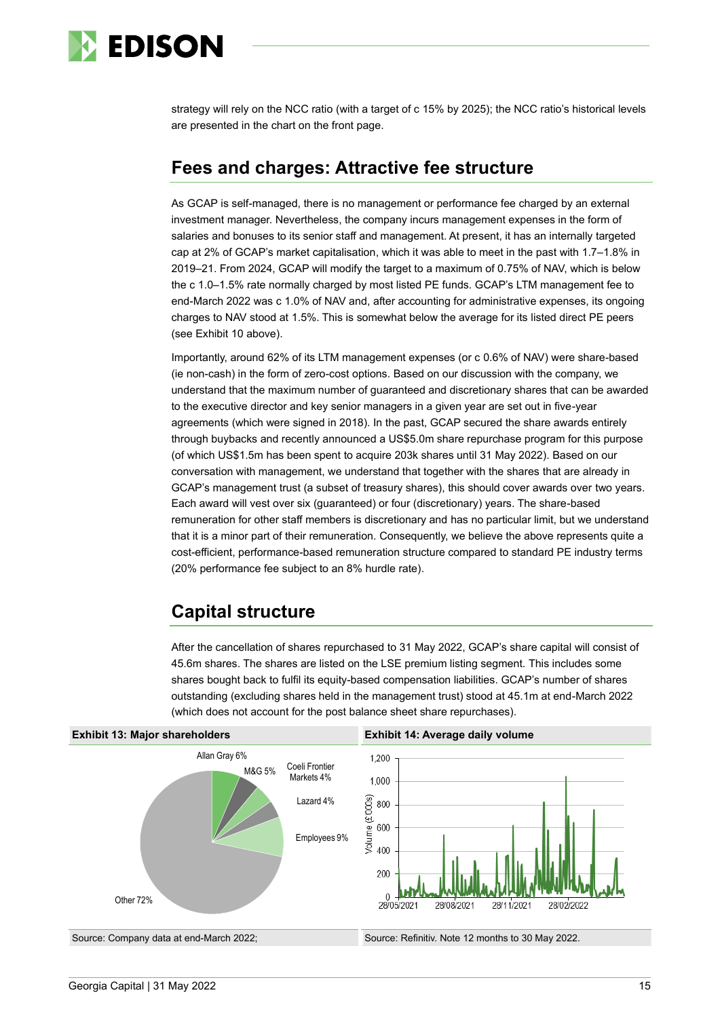

strategy will rely on the NCC ratio (with a target of c 15% by 2025); the NCC ratio's historical levels are presented in the chart on the front page.

# **Fees and charges: Attractive fee structure**

As GCAP is self-managed, there is no management or performance fee charged by an external investment manager. Nevertheless, the company incurs management expenses in the form of salaries and bonuses to its senior staff and management. At present, it has an internally targeted cap at 2% of GCAP's market capitalisation, which it was able to meet in the past with 1.7–1.8% in 2019–21. From 2024, GCAP will modify the target to a maximum of 0.75% of NAV, which is below the c 1.0–1.5% rate normally charged by most listed PE funds. GCAP's LTM management fee to end-March 2022 was c 1.0% of NAV and, after accounting for administrative expenses, its ongoing charges to NAV stood at 1.5%. This is somewhat below the average for its listed direct PE peers (see Exhibit 10 above).

Importantly, around 62% of its LTM management expenses (or c 0.6% of NAV) were share-based (ie non-cash) in the form of zero-cost options. Based on our discussion with the company, we understand that the maximum number of guaranteed and discretionary shares that can be awarded to the executive director and key senior managers in a given year are set out in five-year agreements (which were signed in 2018). In the past, GCAP secured the share awards entirely through buybacks and recently announced a US\$5.0m share repurchase program for this purpose (of which US\$1.5m has been spent to acquire 203k shares until 31 May 2022). Based on our conversation with management, we understand that together with the shares that are already in GCAP's management trust (a subset of treasury shares), this should cover awards over two years. Each award will vest over six (guaranteed) or four (discretionary) years. The share-based remuneration for other staff members is discretionary and has no particular limit, but we understand that it is a minor part of their remuneration. Consequently, we believe the above represents quite a cost-efficient, performance-based remuneration structure compared to standard PE industry terms (20% performance fee subject to an 8% hurdle rate).

# **Capital structure**

After the cancellation of shares repurchased to 31 May 2022, GCAP's share capital will consist of 45.6m shares. The shares are listed on the LSE premium listing segment. This includes some shares bought back to fulfil its equity-based compensation liabilities. GCAP's number of shares outstanding (excluding shares held in the management trust) stood at 45.1m at end-March 2022 (which does not account for the post balance sheet share repurchases).

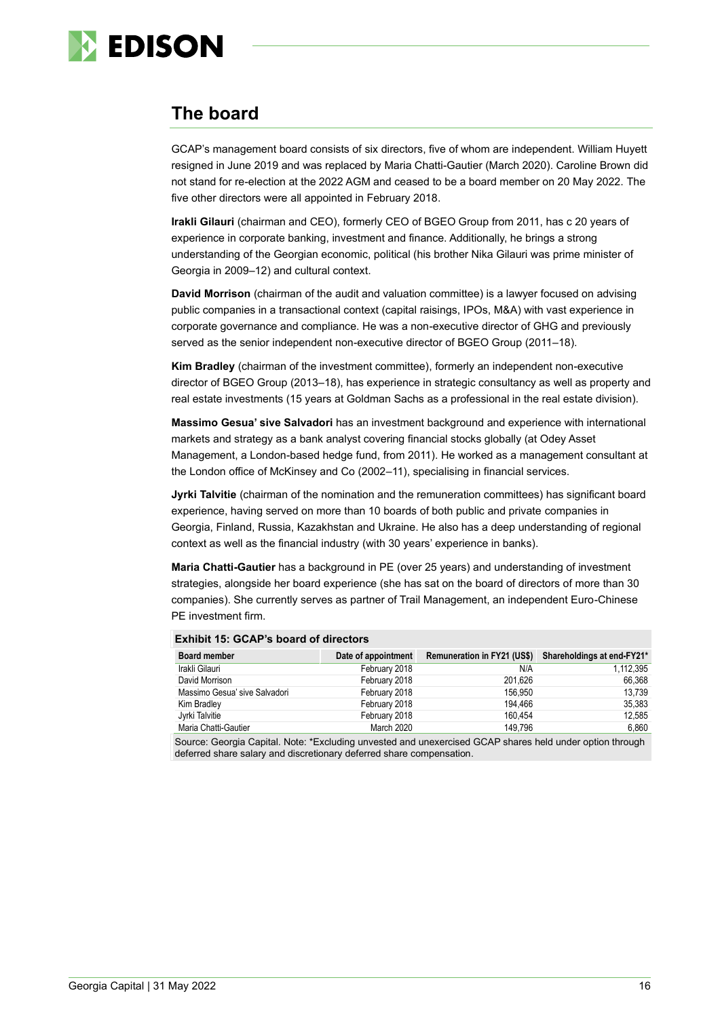

# **The board**

GCAP's management board consists of six directors, five of whom are independent. William Huyett resigned in June 2019 and was replaced by Maria Chatti-Gautier (March 2020). Caroline Brown did not stand for re-election at the 2022 AGM and ceased to be a board member on 20 May 2022. The five other directors were all appointed in February 2018.

**Irakli Gilauri** (chairman and CEO), formerly CEO of BGEO Group from 2011, has c 20 years of experience in corporate banking, investment and finance. Additionally, he brings a strong understanding of the Georgian economic, political (his brother Nika Gilauri was prime minister of Georgia in 2009–12) and cultural context.

**David Morrison** (chairman of the audit and valuation committee) is a lawyer focused on advising public companies in a transactional context (capital raisings, IPOs, M&A) with vast experience in corporate governance and compliance. He was a non-executive director of GHG and previously served as the senior independent non-executive director of BGEO Group (2011–18).

**Kim Bradley** (chairman of the investment committee), formerly an independent non-executive director of BGEO Group (2013–18), has experience in strategic consultancy as well as property and real estate investments (15 years at Goldman Sachs as a professional in the real estate division).

**Massimo Gesua' sive Salvadori** has an investment background and experience with international markets and strategy as a bank analyst covering financial stocks globally (at Odey Asset Management, a London-based hedge fund, from 2011). He worked as a management consultant at the London office of McKinsey and Co (2002–11), specialising in financial services.

**Jyrki Talvitie** (chairman of the nomination and the remuneration committees) has significant board experience, having served on more than 10 boards of both public and private companies in Georgia, Finland, Russia, Kazakhstan and Ukraine. He also has a deep understanding of regional context as well as the financial industry (with 30 years' experience in banks).

**Maria Chatti-Gautier** has a background in PE (over 25 years) and understanding of investment strategies, alongside her board experience (she has sat on the board of directors of more than 30 companies). She currently serves as partner of Trail Management, an independent Euro-Chinese PE investment firm.

| <b>Board member</b>           | Date of appointment | Remuneration in FY21 (US\$) Shareholdings at end-FY21* |           |
|-------------------------------|---------------------|--------------------------------------------------------|-----------|
| Irakli Gilauri                | February 2018       | N/A                                                    | 1,112,395 |
| David Morrison                | February 2018       | 201.626                                                | 66.368    |
| Massimo Gesua' sive Salvadori | February 2018       | 156.950                                                | 13.739    |
| Kim Bradley                   | February 2018       | 194.466                                                | 35,383    |
| Jyrki Talvitie                | February 2018       | 160.454                                                | 12.585    |
| Maria Chatti-Gautier          | March 2020          | 149.796                                                | 6,860     |

#### **Exhibit 15: GCAP's board of directors**

Source: Georgia Capital. Note: \*Excluding unvested and unexercised GCAP shares held under option through deferred share salary and discretionary deferred share compensation.